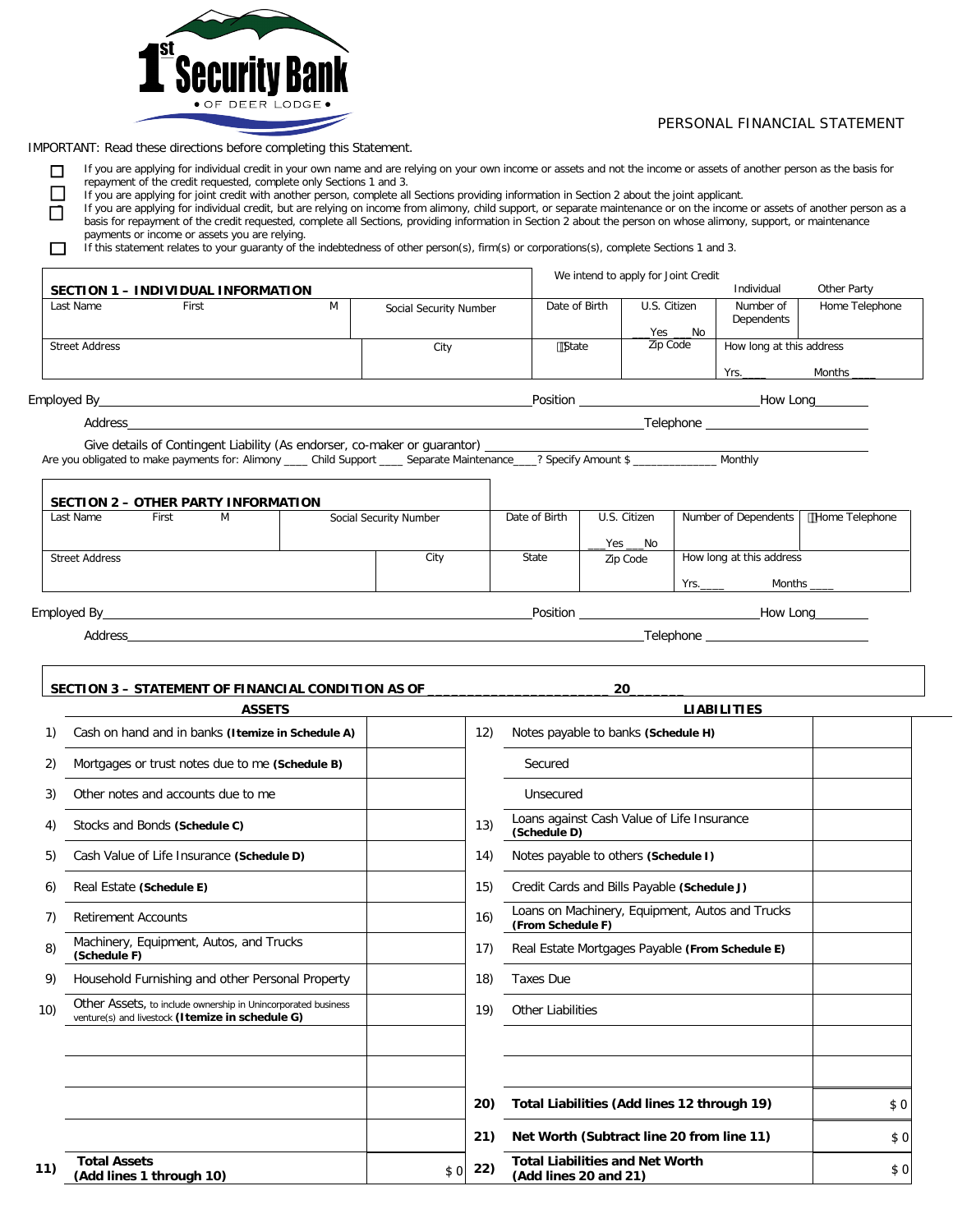

## PERSONAL FINANCIAL STATEMENT

IMPORTANT: Read these directions before completing this Statement.

If you are applying for individual credit in your own name and are relying on your own income or assets and not the income or assets of another person as the basis for repayment of the credit requested, complete only Sections 1 and 3.

o If you are applying for joint credit with another person, complete all Sections providing information in Section 2 about the joint applicant.

If you are applying for individual credit, but are relying on income from alimony, child support, or separate maintenance or on the income or assets of another person as a basis for repayment of the credit requested, complete all Sections, providing information in Section 2 about the person on whose alimony, support, or maintenance payments or income or assets you are relying.

If this statement relates to your guaranty of the indebtedness of other person(s), firm(s) or corporations(s), complete Sections 1 and 3.

|                                                                                                                                                                                                                        |   |                        |               |              | We intend to apply for Joint Credit |                                          |                                                |
|------------------------------------------------------------------------------------------------------------------------------------------------------------------------------------------------------------------------|---|------------------------|---------------|--------------|-------------------------------------|------------------------------------------|------------------------------------------------|
| SECTION 1 - INDIVIDUAL INFORMATION                                                                                                                                                                                     |   |                        |               |              |                                     | Individual                               | Other Party                                    |
| First<br>Last Name                                                                                                                                                                                                     | M | Social Security Number | Date of Birth |              | U.S. Citizen<br>___Yes ___No        | Number of<br>Dependents                  | Home Telephone                                 |
| <b>Street Address</b>                                                                                                                                                                                                  |   | City                   | State         |              | Zip Code                            | How long at this address                 |                                                |
|                                                                                                                                                                                                                        |   |                        |               |              |                                     | $Yrs$ .                                  | Months _____                                   |
|                                                                                                                                                                                                                        |   |                        |               |              |                                     |                                          |                                                |
|                                                                                                                                                                                                                        |   |                        |               |              |                                     | __Telephone ____________________________ |                                                |
|                                                                                                                                                                                                                        |   |                        |               |              |                                     |                                          |                                                |
|                                                                                                                                                                                                                        |   |                        |               |              |                                     |                                          |                                                |
| <b>Example 18</b><br>M                                                                                                                                                                                                 |   | Social Security Number | Date of Birth | U.S. Citizen |                                     | Number of Dependents                     |                                                |
|                                                                                                                                                                                                                        |   |                        |               |              | _Yes ____No                         |                                          |                                                |
|                                                                                                                                                                                                                        |   | City                   | State         | Zip Code     |                                     | How long at this address                 |                                                |
|                                                                                                                                                                                                                        |   |                        |               |              |                                     |                                          | Home Telephone<br>Yrs._______    Months ______ |
| Are you obligated to make payments for: Alimony ____ Child Support ____ Separate Maintenance____? Specify Amount \$ _____________ Monthly<br>SECTION 2 - OTHER PARTY INFORMATION<br>Last Name<br><b>Street Address</b> |   |                        |               |              |                                     |                                          | How Long                                       |

# **SECTION 3 – STATEMENT OF FINANCIAL CONDITION AS OF \_\_\_\_\_\_\_\_\_\_\_\_\_\_\_\_\_\_\_\_\_\_\_ 20\_\_\_\_\_\_\_ ASSETS LIABILITIES** 1) Cash on hand and in banks **(Itemize in Schedule A)** 12) Notes payable to banks **(Schedule H)**

| 2)  | Mortgages or trust notes due to me (Schedule B)                                                                   |     |     | Secured                                                              |
|-----|-------------------------------------------------------------------------------------------------------------------|-----|-----|----------------------------------------------------------------------|
| 3)  | Other notes and accounts due to me                                                                                |     |     | Unsecured                                                            |
| 4)  | Stocks and Bonds (Schedule C)                                                                                     |     | 13) | Loans against Cash Value of Life Insurance<br>(Schedule D)           |
| 5)  | Cash Value of Life Insurance (Schedule D)                                                                         |     | 14) | Notes payable to others (Schedule I)                                 |
| 6)  | Real Estate (Schedule E)                                                                                          |     | 15) | Credit Cards and Bills Payable (Schedule J)                          |
| 7)  | <b>Retirement Accounts</b>                                                                                        |     | 16) | Loans on Machinery, Equipment, Autos and Trucks<br>(From Schedule F) |
| 8)  | Machinery, Equipment, Autos, and Trucks<br>(Schedule F)                                                           |     | 17) | Real Estate Mortgages Payable (From Schedule E)                      |
| 9)  | Household Furnishing and other Personal Property                                                                  |     | 18) | <b>Taxes Due</b>                                                     |
| 10) | Other Assets, to include ownership in Unincorporated business<br>venture(s) and livestock (Itemize in schedule G) |     | 19) | <b>Other Liabilities</b>                                             |
|     |                                                                                                                   |     |     |                                                                      |
|     |                                                                                                                   |     |     |                                                                      |
|     |                                                                                                                   |     | 20) | Total Liabilities (Add lines 12 through 19)                          |
|     |                                                                                                                   |     | 21) | Net Worth (Subtract line 20 from line 11)                            |
| 11) | <b>Total Assets</b><br>(Add lines 1 through 10)                                                                   | \$0 | 22) | <b>Total Liabilities and Net Worth</b><br>(Add lines 20 and 21)      |

| Credit Cards and Bills Payable (Schedule J)                          |  |
|----------------------------------------------------------------------|--|
| Loans on Machinery, Equipment, Autos and Trucks<br>(From Schedule F) |  |
| Real Estate Mortgages Payable (From Schedule E)                      |  |
| Taxes Due                                                            |  |
| Other Liabilities                                                    |  |

|     | 20) | Total Liabilities (Add lines 12 through 19)                     | \$0  |
|-----|-----|-----------------------------------------------------------------|------|
|     | 21) | Net Worth (Subtract line 20 from line 11)                       |      |
| \$0 | 22) | <b>Total Liabilities and Net Worth</b><br>(Add lines 20 and 21) | \$ 0 |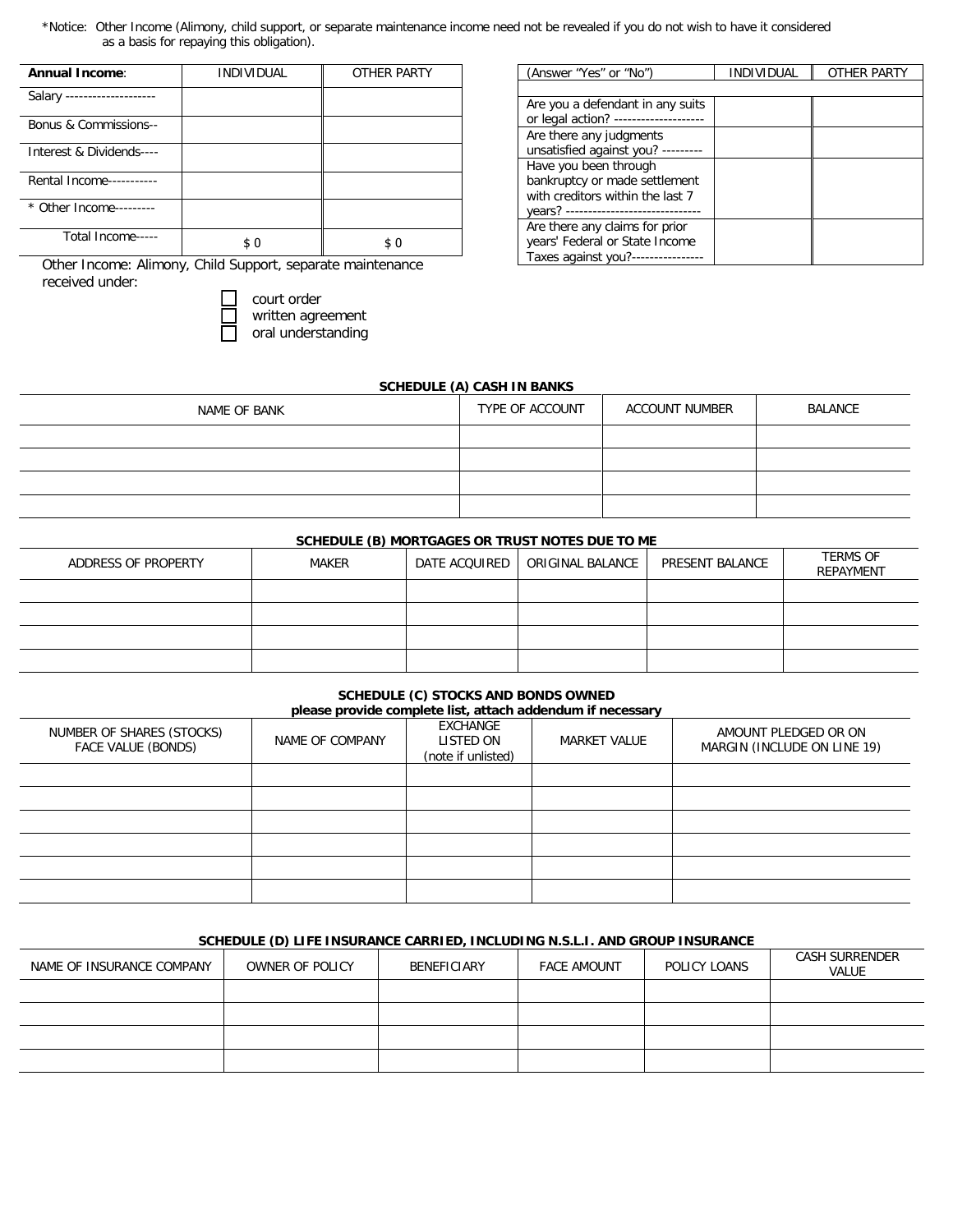\*Notice: Other Income (Alimony, child support, or separate maintenance income need not be revealed if you do not wish to have it considered as a basis for repaying this obligation).

| Annual Income:              | <b>INDIVIDUAL</b> | OTHER PARTY |
|-----------------------------|-------------------|-------------|
| Salary -------------------- |                   |             |
| Bonus & Commissions--       |                   |             |
| Interest & Dividends----    |                   |             |
| Rental Income-----------    |                   |             |
| * Other Income---------     |                   |             |
| Total Income-----           | \$0               | \$0         |

Other Income: Alimony, Child Support, separate maintenance received under:

court order □ written agreement

□ oral understanding

| (Answer "Yes" or "No")             | <b>INDIVIDUAL</b> | OTHER PARTY |
|------------------------------------|-------------------|-------------|
|                                    |                   |             |
| Are you a defendant in any suits   |                   |             |
| or legal action? ---------         |                   |             |
| Are there any judgments            |                   |             |
| unsatisfied against you? --------- |                   |             |
| Have you been through              |                   |             |
| bankruptcy or made settlement      |                   |             |
| with creditors within the last 7   |                   |             |
| vears? ------------------------    |                   |             |
| Are there any claims for prior     |                   |             |
| years' Federal or State Income     |                   |             |
| Taxes against you?-                |                   |             |

### **SCHEDULE (A) CASH IN BANKS**

| NAME OF BANK | TYPE OF ACCOUNT | ACCOUNT NUMBER | BALANCE |
|--------------|-----------------|----------------|---------|
|              |                 |                |         |
|              |                 |                |         |
|              |                 |                |         |
|              |                 |                |         |

## **SCHEDULE (B) MORTGAGES OR TRUST NOTES DUE TO ME**

| ADDRESS OF PROPERTY | MAKER | DATE ACQUIRED | ORIGINAL BALANCE | PRESENT BALANCE | <b>TERMS OF</b><br>REPAYMENT |
|---------------------|-------|---------------|------------------|-----------------|------------------------------|
|                     |       |               |                  |                 |                              |
|                     |       |               |                  |                 |                              |
|                     |       |               |                  |                 |                              |
|                     |       |               |                  |                 |                              |

# **SCHEDULE (C) STOCKS AND BONDS OWNED**

| please provide complete list, attach addendum if necessary |                 |                                                    |                     |                                                     |  |  |  |
|------------------------------------------------------------|-----------------|----------------------------------------------------|---------------------|-----------------------------------------------------|--|--|--|
| NUMBER OF SHARES (STOCKS)<br>FACE VALUE (BONDS)            | NAME OF COMPANY | <b>EXCHANGE</b><br>LISTED ON<br>(note if unlisted) | <b>MARKET VALUE</b> | AMOUNT PLEDGED OR ON<br>MARGIN (INCLUDE ON LINE 19) |  |  |  |
|                                                            |                 |                                                    |                     |                                                     |  |  |  |
|                                                            |                 |                                                    |                     |                                                     |  |  |  |
|                                                            |                 |                                                    |                     |                                                     |  |  |  |
|                                                            |                 |                                                    |                     |                                                     |  |  |  |
|                                                            |                 |                                                    |                     |                                                     |  |  |  |
|                                                            |                 |                                                    |                     |                                                     |  |  |  |

## **SCHEDULE (D) LIFE INSURANCE CARRIED, INCLUDING N.S.L.I. AND GROUP INSURANCE**

| NAME OF INSURANCE COMPANY | OWNER OF POLICY | BENEFICIARY | <b>FACE AMOUNT</b> | POLICY LOANS | CASH SURRENDER<br><b>VALUE</b> |
|---------------------------|-----------------|-------------|--------------------|--------------|--------------------------------|
|                           |                 |             |                    |              |                                |
|                           |                 |             |                    |              |                                |
|                           |                 |             |                    |              |                                |
|                           |                 |             |                    |              |                                |